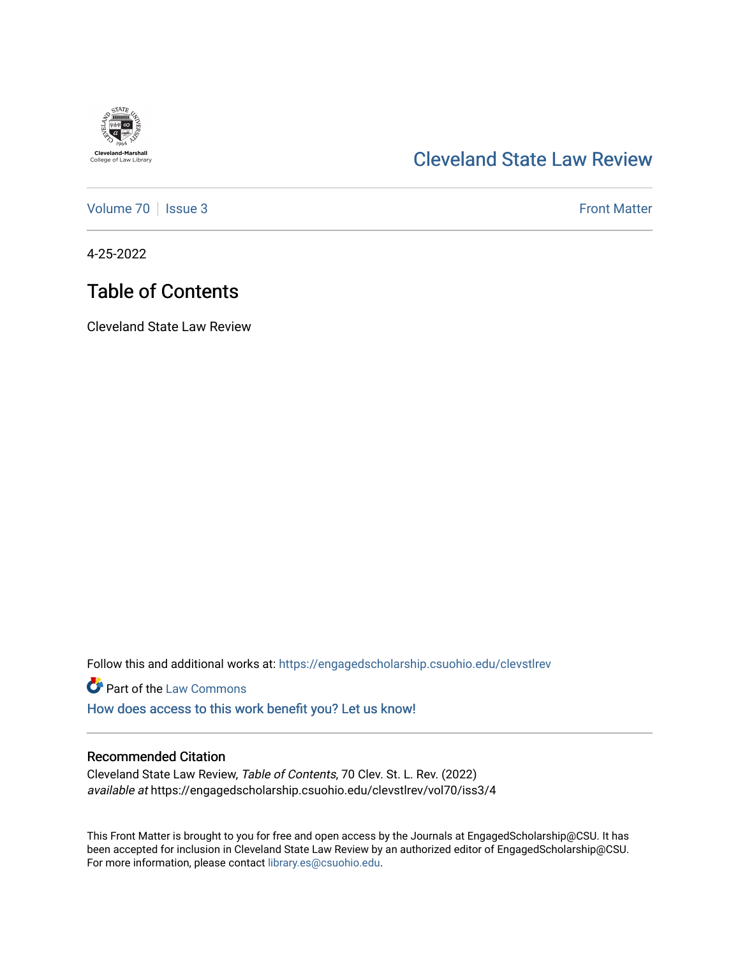

## [Cleveland State Law Review](https://engagedscholarship.csuohio.edu/clevstlrev)

[Volume 70](https://engagedscholarship.csuohio.edu/clevstlrev/vol70) | [Issue 3](https://engagedscholarship.csuohio.edu/clevstlrev/vol70/iss3) Front Matter

4-25-2022

# Table of Contents

Cleveland State Law Review

Follow this and additional works at: [https://engagedscholarship.csuohio.edu/clevstlrev](https://engagedscholarship.csuohio.edu/clevstlrev?utm_source=engagedscholarship.csuohio.edu%2Fclevstlrev%2Fvol70%2Fiss3%2F4&utm_medium=PDF&utm_campaign=PDFCoverPages)

**Part of the [Law Commons](http://network.bepress.com/hgg/discipline/578?utm_source=engagedscholarship.csuohio.edu%2Fclevstlrev%2Fvol70%2Fiss3%2F4&utm_medium=PDF&utm_campaign=PDFCoverPages)** 

[How does access to this work benefit you? Let us know!](http://library.csuohio.edu/engaged/)

#### Recommended Citation

Cleveland State Law Review, Table of Contents, 70 Clev. St. L. Rev. (2022) available at https://engagedscholarship.csuohio.edu/clevstlrev/vol70/iss3/4

This Front Matter is brought to you for free and open access by the Journals at EngagedScholarship@CSU. It has been accepted for inclusion in Cleveland State Law Review by an authorized editor of EngagedScholarship@CSU. For more information, please contact [library.es@csuohio.edu.](mailto:library.es@csuohio.edu)